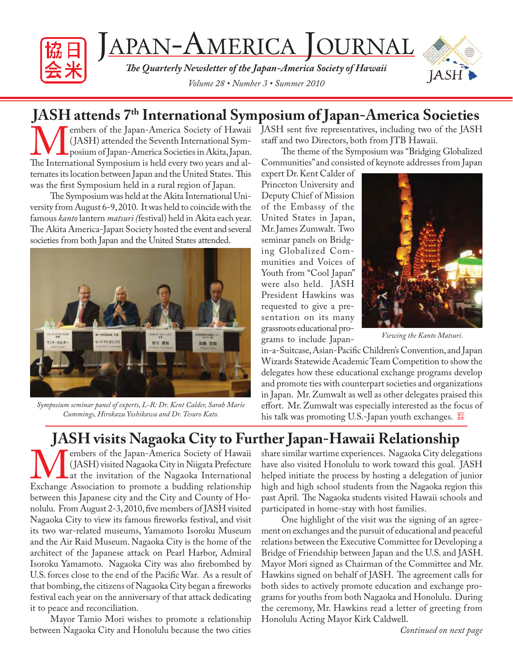

JAPAN-AMERICA JOURNAL

*Th e Quarterly Newsletter of the Japan-America Society of Hawaii Volume 28 • Number 3 • Summer 2010*



# **JASH attends 7<sup>th</sup> International Symposium of Japan-America Societies**<br> **The America** Society of Hawaii JASH sent five representatives, including two of the JASH

Members of the Japan-America Society of Hawaii (JASH) attended the Seventh International Symposium of Japan-America Societies in Akita, Japan.<br>The International Symposium is held every two years and al-( JASH) attended the Seventh International Symposium of Japan-America Societies in Akita, Japan. ternates its location between Japan and the United States. This was the first Symposium held in a rural region of Japan.

The Symposium was held at the Akita International University from August 6-9, 2010. It was held to coincide with the famous *kanto* lantern *matsuri (*festival) held in Akita each year. The Akita America-Japan Society hosted the event and several societies from both Japan and the United States attended.



*Symposium seminar panel of experts, L-R: Dr. Kent Calder, Sarah Marie Cummings, Hirokazu Yoshikawa and Dr. Tesuro Kato.*

JASH sent five representatives, including two of the JASH staff and two Directors, both from JTB Hawaii.

The theme of the Symposium was "Bridging Globalized Communities" and consisted of keynote addresses from Japan

expert Dr. Kent Calder of Princeton University and Deputy Chief of Mission of the Embassy of the United States in Japan, Mr. James Zumwalt. Two seminar panels on Bridging Globalized Communities and Voices of Youth from "Cool Japan" were also held. JASH President Hawkins was requested to give a presentation on its many grassroots educational programs to include Japan-



*Viewing the Kanto Matsuri.*

in-a-Suitcase, Asian-Pacific Children's Convention, and Japan Wizards Statewide Academic Team Competition to show the delegates how these educational exchange programs develop and promote ties with counterpart societies and organizations in Japan. Mr. Zumwalt as well as other delegates praised this effort. Mr. Zumwalt was especially interested as the focus of his talk was promoting U.S.-Japan youth exchanges.

# **JASH visits Nagaoka City to Further Japan-Hawaii Relationship**

**MALANET SET AMELIARY SET ALANET SET ALANET STATE OF A SET ALANET AT A THE ALANET AT A THE ALANET AT A THE ANGLE AND THE ALANET AND FOR A SURVEY AND FOR A SURVEY AND FOR A SURVEY AND FOR A SURVEY AND FOR A SURVEY AND FOR A** (JASH) visited Nagaoka City in Niigata Prefecture Lat the invitation of the Nagaoka International Exchange Association to promote a budding relationship between this Japanese city and the City and County of Honolulu. From August 2-3, 2010, five members of JASH visited Nagaoka City to view its famous fireworks festival, and visit its two war-related museums, Yamamoto Isoroku Museum and the Air Raid Museum. Nagaoka City is the home of the architect of the Japanese attack on Pearl Harbor, Admiral Isoroku Yamamoto. Nagaoka City was also firebombed by U.S. forces close to the end of the Pacific War. As a result of that bombing, the citizens of Nagaoka City began a fireworks festival each year on the anniversary of that attack dedicating it to peace and reconciliation.

Mayor Tamio Mori wishes to promote a relationship between Nagaoka City and Honolulu because the two cities

share similar wartime experiences. Nagaoka City delegations have also visited Honolulu to work toward this goal. JASH helped initiate the process by hosting a delegation of junior high and high school students from the Nagaoka region this past April. The Nagaoka students visited Hawaii schools and participated in home-stay with host families.

One highlight of the visit was the signing of an agreement on exchanges and the pursuit of educational and peaceful relations between the Executive Committee for Developing a Bridge of Friendship between Japan and the U.S. and JASH. Mayor Mori signed as Chairman of the Committee and Mr. Hawkins signed on behalf of JASH. The agreement calls for both sides to actively promote education and exchange programs for youths from both Nagaoka and Honolulu. During the ceremony, Mr. Hawkins read a letter of greeting from Honolulu Acting Mayor Kirk Caldwell.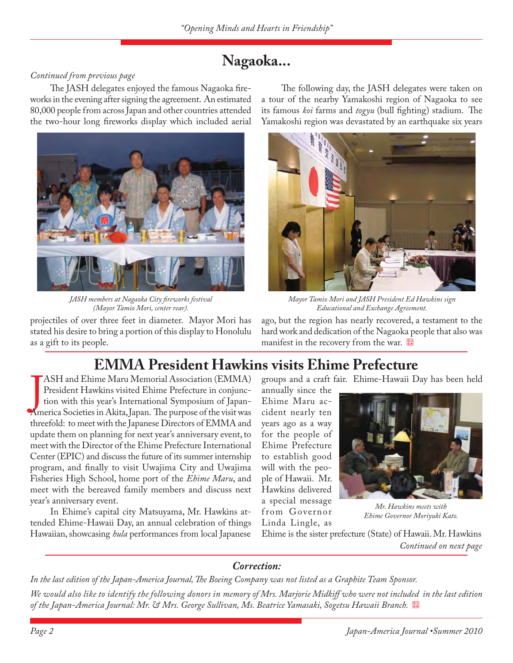# **Nagaoka...**

## *Continued from previous page*

The JASH delegates enjoyed the famous Nagaoka fireworks in the evening after signing the agreement. An estimated 80,000 people from across Japan and other countries attended the two-hour long fireworks display which included aerial



*JASH members at Nagaoka City fi reworks festival (Mayor Tamio Mori, center rear).*

projectiles of over three feet in diameter. Mayor Mori has stated his desire to bring a portion of this display to Honolulu as a gift to its people.

The following day, the JASH delegates were taken on a tour of the nearby Yamakoshi region of Nagaoka to see its famous *koi* farms and *togyu* (bull fighting) stadium. The Yamakoshi region was devastated by an earthquake six years



*Mayor Tamio Mori and JASH President Ed Hawkins sign Educational and Exchange Agreement.*

ago, but the region has nearly recovered, a testament to the hard work and dedication of the Nagaoka people that also was manifest in the recovery from the war.

# **EMMA President Hawkins visits Ehime Prefecture**

ASH and Ehime Maru Memorial Association (EMMA)<br>President Hawkins visited Ehime Prefecture in conjunction with this year's International Symposium of Japan-<br>America Societies in Akita, Japan. The purpose of the visit was ASH and Ehime Maru Memorial Association (EMMA) President Hawkins visited Ehime Prefecture in conjunction with this year's International Symposium of Japanthreefold: to meet with the Japanese Directors of EMMA and update them on planning for next year's anniversary event, to meet with the Director of the Ehime Prefecture International Center (EPIC) and discuss the future of its summer internship program, and finally to visit Uwajima City and Uwajima Fisheries High School, home port of the *Ehime Maru*, and meet with the bereaved family members and discuss next year's anniversary event.

In Ehime's capital city Matsuyama, Mr. Hawkins attended Ehime-Hawaii Day, an annual celebration of things Hawaiian, showcasing *hula* performances from local Japanese groups and a craft fair. Ehime-Hawaii Day has been held

annually since the Ehime Maru accident nearly ten years ago as a way for the people of Ehime Prefecture to establish good will with the people of Hawaii. Mr. Hawkins delivered a special message from Governor Linda Lingle, as



*Mr. Hawkins meets with Ehime Governor Moriyuki Kato.*

Ehime is the sister prefecture (State) of Hawaii. Mr. Hawkins *Continued on next page*

## *Correction:*

In the last edition of the Japan-America Journal, The Boeing Company was not listed as a Graphite Team Sponsor.

*We would also like to identify the following donors in memory of Mrs. Marjorie Midkiff who were not included in the last edition of the Japan-America Journal: Mr. & Mrs. George Sullivan, Ms. Beatrice Yamasaki, Sogetsu Hawaii Branch.*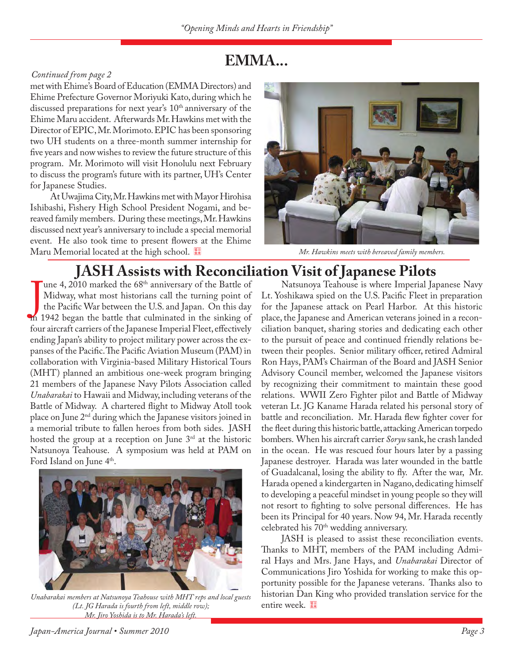# **EMMA...**

## *Continued from page 2*

met with Ehime's Board of Education (EMMA Directors) and Ehime Prefecture Governor Moriyuki Kato, during which he discussed preparations for next year's  $10<sup>th</sup>$  anniversary of the Ehime Maru accident. Afterwards Mr. Hawkins met with the Director of EPIC, Mr. Morimoto. EPIC has been sponsoring two UH students on a three-month summer internship for five years and now wishes to review the future structure of this program. Mr. Morimoto will visit Honolulu next February to discuss the program's future with its partner, UH's Center for Japanese Studies.

At Uwajima City, Mr. Hawkins met with Mayor Hirohisa Ishibashi, Fishery High School President Nogami, and bereaved family members. During these meetings, Mr. Hawkins discussed next year's anniversary to include a special memorial event. He also took time to present flowers at the Ehime Maru Memorial located at the high school. <sup>[9]</sup> Mr. Hawkins meets with bereaved family members.



## **JASH Assists with Reconciliation Visit of Japanese Pilots**

une 4, 2010 marked the 68<sup>th</sup> anniversary of the Battle of Midway, what most historians call the turning point of the Pacific War between the U.S. and Japan. On this day m 1942 began the battle that culminated in the sinki une 4, 2010 marked the 68<sup>th</sup> anniversary of the Battle of Midway, what most historians call the turning point of the Pacific War between the U.S. and Japan. On this day four aircraft carriers of the Japanese Imperial Fleet, effectively ending Japan's ability to project military power across the expanses of the Pacific. The Pacific Aviation Museum (PAM) in collaboration with Virginia-based Military Historical Tours (MHT) planned an ambitious one-week program bringing 21 members of the Japanese Navy Pilots Association called *Unabarakai* to Hawaii and Midway, including veterans of the Battle of Midway. A chartered flight to Midway Atoll took place on June 2nd during which the Japanese visitors joined in a memorial tribute to fallen heroes from both sides. JASH hosted the group at a reception on June  $3<sup>rd</sup>$  at the historic Natsunoya Teahouse. A symposium was held at PAM on Ford Island on June 4<sup>th</sup>.



*Unabarakai members at Natsunoya Teahouse with MHT reps and local guests* **historian Dan f**<br>(Lt. IG Harada is fourth from left. middle row): **cntire week**. *(Lt. JG Harada is fourth from left, middle row); Mr. Jiro Yoshida is to Mr. Harada's left.*

Natsunoya Teahouse is where Imperial Japanese Navy Lt. Yoshikawa spied on the U.S. Pacific Fleet in preparation for the Japanese attack on Pearl Harbor. At this historic place, the Japanese and American veterans joined in a reconciliation banquet, sharing stories and dedicating each other to the pursuit of peace and continued friendly relations between their peoples. Senior military officer, retired Admiral Ron Hays, PAM's Chairman of the Board and JASH Senior Advisory Council member, welcomed the Japanese visitors by recognizing their commitment to maintain these good relations. WWII Zero Fighter pilot and Battle of Midway veteran Lt. JG Kaname Harada related his personal story of battle and reconciliation. Mr. Harada flew fighter cover for the fleet during this historic battle, attacking American torpedo bombers. When his aircraft carrier *Soryu* sank, he crash landed in the ocean. He was rescued four hours later by a passing Japanese destroyer. Harada was later wounded in the battle of Guadalcanal, losing the ability to fly. After the war, Mr. Harada opened a kindergarten in Nagano, dedicating himself to developing a peaceful mindset in young people so they will not resort to fighting to solve personal differences. He has been its Principal for 40 years. Now 94, Mr. Harada recently celebrated his 70<sup>th</sup> wedding anniversary.

JASH is pleased to assist these reconciliation events. Thanks to MHT, members of the PAM including Admiral Hays and Mrs. Jane Hays, and *Unabarakai* Director of Communications Jiro Yoshida for working to make this opportunity possible for the Japanese veterans. Thanks also to historian Dan King who provided translation service for the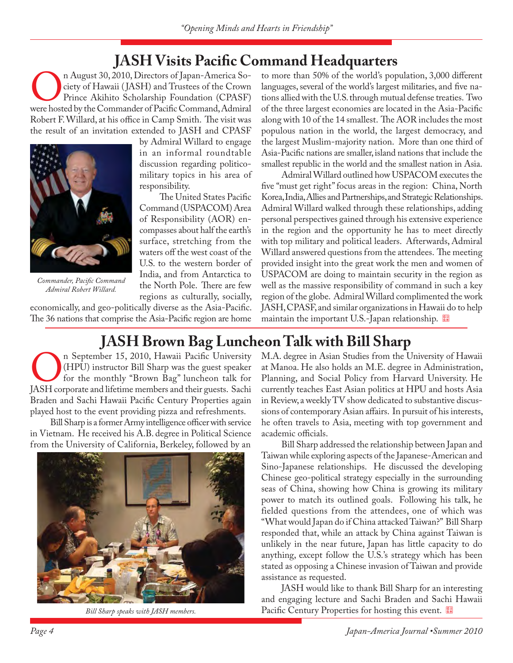## **JASH Visits Pacific Command Headquarters**

On August 30, 2010, Directors of Japan-America Society of Hawaii (JASH) and Trustees of the Crown<br>Prince Akihito Scholarship Foundation (CPASF)<br>were hosted by the Commander of Pacific Command, Admiral ciety of Hawaii ( JASH) and Trustees of the Crown Prince Akihito Scholarship Foundation (CPASF) Robert F. Willard, at his office in Camp Smith. The visit was the result of an invitation extended to JASH and CPASF



*Commander, Pacifi c Command Admiral Robert Willard.*

by Admiral Willard to engage in an informal roundtable discussion regarding politicomilitary topics in his area of responsibility.

The United States Pacific Command (USPACOM) Area of Responsibility (AOR) encompasses about half the earth's surface, stretching from the waters off the west coast of the U.S. to the western border of India, and from Antarctica to the North Pole. There are few regions as culturally, socially,

economically, and geo-politically diverse as the Asia-Pacific. The 36 nations that comprise the Asia-Pacific region are home

to more than 50% of the world's population, 3,000 different languages, several of the world's largest militaries, and five nations allied with the U.S. through mutual defense treaties. Two of the three largest economies are located in the Asia-Pacific along with 10 of the 14 smallest. The AOR includes the most populous nation in the world, the largest democracy, and the largest Muslim-majority nation. More than one third of Asia-Pacific nations are smaller, island nations that include the smallest republic in the world and the smallest nation in Asia.

Admiral Willard outlined how USPACOM executes the five "must get right" focus areas in the region: China, North Korea, India, Allies and Partnerships, and Strategic Relationships. Admiral Willard walked through these relationships, adding personal perspectives gained through his extensive experience in the region and the opportunity he has to meet directly with top military and political leaders. Afterwards, Admiral Willard answered questions from the attendees. The meeting provided insight into the great work the men and women of USPACOM are doing to maintain security in the region as well as the massive responsibility of command in such a key region of the globe. Admiral Willard complimented the work JASH, CPASF, and similar organizations in Hawaii do to help maintain the important U.S.-Japan relationship.

# **JASH Brown Bag Luncheon Talk with Bill Sharp**<br>n September 15, 2010, Hawaii Pacific University M.A. degree in Asian Studies from the U

On September 15, 2010, Hawaii Pacific University<br>
for the monthly "Brown Bag" luncheon talk for<br>
JASH corporate and lifetime members and their guests. Sachi (HPU) instructor Bill Sharp was the guest speaker for the monthly "Brown Bag" luncheon talk for Braden and Sachi Hawaii Pacific Century Properties again played host to the event providing pizza and refreshments.

Bill Sharp is a former Army intelligence officer with service in Vietnam. He received his A.B. degree in Political Science from the University of California, Berkeley, followed by an



M.A. degree in Asian Studies from the University of Hawaii at Manoa. He also holds an M.E. degree in Administration, Planning, and Social Policy from Harvard University. He currently teaches East Asian politics at HPU and hosts Asia in Review, a weekly TV show dedicated to substantive discussions of contemporary Asian affairs. In pursuit of his interests, he often travels to Asia, meeting with top government and academic officials.

Bill Sharp addressed the relationship between Japan and Taiwan while exploring aspects of the Japanese-American and Sino-Japanese relationships. He discussed the developing Chinese geo-political strategy especially in the surrounding seas of China, showing how China is growing its military power to match its outlined goals. Following his talk, he fielded questions from the attendees, one of which was "What would Japan do if China attacked Taiwan?" Bill Sharp responded that, while an attack by China against Taiwan is unlikely in the near future, Japan has little capacity to do anything, except follow the U.S.'s strategy which has been stated as opposing a Chinese invasion of Taiwan and provide assistance as requested.

JASH would like to thank Bill Sharp for an interesting and engaging lecture and Sachi Braden and Sachi Hawaii *Bill Sharp speaks with JASH members.* Pacific Century Properties for hosting this event.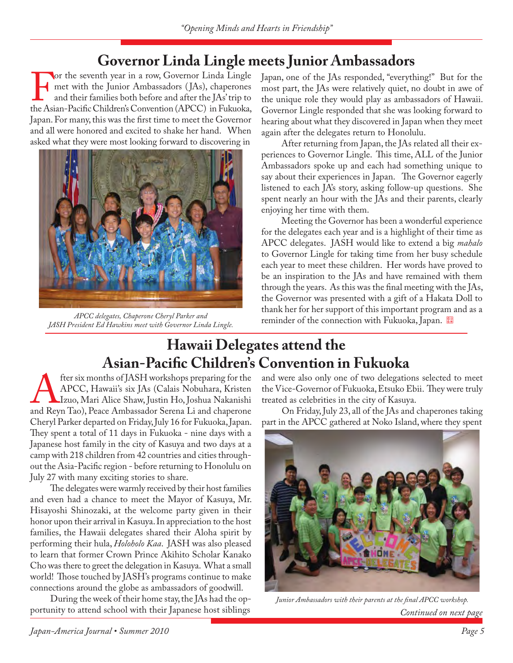# **Governor Linda Lingle meets Junior Ambassadors**

For the seventh year in a row, Governor Linda Lingle<br>met with the Junior Ambassadors (JAs), chaperones<br>and their families both before and after the JAs' trip to<br>the Asian-Pacific Children's Convention (APCC) in Fukuoka, met with the Junior Ambassadors ( JAs), chaperones and their families both before and after the JAs' trip to the Asian-Pacific Children's Convention (APCC) in Fukuoka, Japan. For many, this was the first time to meet the Governor and all were honored and excited to shake her hand. When asked what they were most looking forward to discovering in



*JASH President Ed Hawkins meet with Governor Linda Lingle.*

Japan, one of the JAs responded, "everything!" But for the most part, the JAs were relatively quiet, no doubt in awe of the unique role they would play as ambassadors of Hawaii. Governor Lingle responded that she was looking forward to hearing about what they discovered in Japan when they meet again after the delegates return to Honolulu.

After returning from Japan, the JAs related all their experiences to Governor Lingle. This time, ALL of the Junior Ambassadors spoke up and each had something unique to say about their experiences in Japan. The Governor eagerly listened to each JA's story, asking follow-up questions. She spent nearly an hour with the JAs and their parents, clearly enjoying her time with them.

Meeting the Governor has been a wonderful experience for the delegates each year and is a highlight of their time as APCC delegates. JASH would like to extend a big *mahalo*  to Governor Lingle for taking time from her busy schedule each year to meet these children. Her words have proved to be an inspiration to the JAs and have remained with them through the years. As this was the final meeting with the JAs, the Governor was presented with a gift of a Hakata Doll to thank her for her support of this important program and as a reminder of the connection with Fukuoka, Japan. *APCC delegates, Chaperone Cheryl Parker and* 

# **Hawaii Delegates attend the Asian-Pacific Children's Convention in Fukuoka**

fter six months of JASH workshops preparing for the APCC, Hawaii's six JAs (Calais Nobuhara, Kristen Izuo, Mari Alice Shaw, Justin Ho, Joshua Nakanishi<br>and Reyn Tao), Peace Ambassador Serena Li and chaperone APCC, Hawaii's six JAs (Calais Nobuhara, Kristen Izuo, Mari Alice Shaw, Justin Ho, Joshua Nakanishi Cheryl Parker departed on Friday, July 16 for Fukuoka, Japan. They spent a total of 11 days in Fukuoka - nine days with a Japanese host family in the city of Kasuya and two days at a camp with 218 children from 42 countries and cities throughout the Asia-Pacific region - before returning to Honolulu on July 27 with many exciting stories to share.

The delegates were warmly received by their host families and even had a chance to meet the Mayor of Kasuya, Mr. Hisayoshi Shinozaki, at the welcome party given in their honor upon their arrival in Kasuya. In appreciation to the host families, the Hawaii delegates shared their Aloha spirit by performing their hula, *Holoholo Kaa*. JASH was also pleased to learn that former Crown Prince Akihito Scholar Kanako Cho was there to greet the delegation in Kasuya. What a small world! Those touched by JASH's programs continue to make connections around the globe as ambassadors of goodwill.

During the week of their home stay, the JAs had the opportunity to attend school with their Japanese host siblings

and were also only one of two delegations selected to meet the Vice-Governor of Fukuoka, Etsuko Ebii. They were truly treated as celebrities in the city of Kasuya.

On Friday, July 23, all of the JAs and chaperones taking part in the APCC gathered at Noko Island, where they spent



Junior Ambassadors with their parents at the final APCC workshop. *Continued on next page*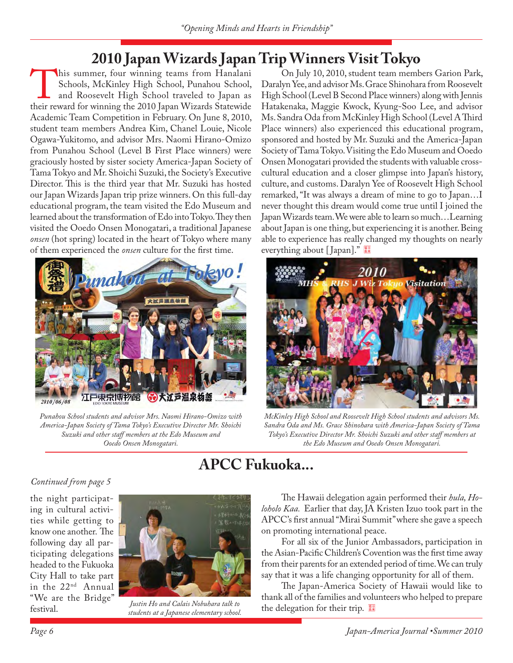## **2010 Japan Wizards Japan Trip Winners Visit Tokyo**

his summer, four winning teams from Hanalani Schools, McKinley High School, Punahou School, and Roosevelt High School traveled to Japan as their reward for winning the 2010 Japan Wizards Statewide Schools, McKinley High School, Punahou School, and Roosevelt High School traveled to Japan as Academic Team Competition in February. On June 8, 2010, student team members Andrea Kim, Chanel Louie, Nicole Ogawa-Yukitomo, and advisor Mrs. Naomi Hirano-Omizo from Punahou School (Level B First Place winners) were graciously hosted by sister society America-Japan Society of Tama Tokyo and Mr. Shoichi Suzuki, the Society's Executive Director. This is the third year that Mr. Suzuki has hosted our Japan Wizards Japan trip prize winners. On this full-day educational program, the team visited the Edo Museum and learned about the transformation of Edo into Tokyo. They then visited the Ooedo Onsen Monogatari, a traditional Japanese *onsen* (hot spring) located in the heart of Tokyo where many of them experienced the *onsen* culture for the first time.



*Punahou School students and advisor Mrs. Naomi Hirano-Omizo with America-Japan Society of Tama Tokyo's Executive Director Mr. Shoichi Suzuki and other staff members at the Edo Museum and Ooedo Onsen Monogatari.*

On July 10, 2010, student team members Garion Park, Daralyn Yee, and advisor Ms. Grace Shinohara from Roosevelt High School (Level B Second Place winners) along with Jennis Hatakenaka, Maggie Kwock, Kyung-Soo Lee, and advisor Ms. Sandra Oda from McKinley High School (Level A Third Place winners) also experienced this educational program, sponsored and hosted by Mr. Suzuki and the America-Japan Society of Tama Tokyo. Visiting the Edo Museum and Ooedo Onsen Monogatari provided the students with valuable crosscultural education and a closer glimpse into Japan's history, culture, and customs. Daralyn Yee of Roosevelt High School remarked, "It was always a dream of mine to go to Japan…I never thought this dream would come true until I joined the Japan Wizards team. We were able to learn so much…Learning about Japan is one thing, but experiencing it is another. Being able to experience has really changed my thoughts on nearly everything about [Japan]."



*McKinley High School and Roosevelt High School students and advisors Ms. Sandra Oda and Ms. Grace Shinohara with America-Japan Society of Tama Tokyo's Executive Director Mr. Shoichi Suzuki and other staff members at the Edo Museum and Ooedo Onsen Monogatari.*

# **APCC Fukuoka...**

## *Continued from page 5*

the night participating in cultural activities while getting to know one another. The following day all participating delegations headed to the Fukuoka City Hall to take part in the 22nd Annual "We are the Bridge" festival.



*Justin Ho and Calais Nobuhara talk to students at a Japanese elementary school.*

The Hawaii delegation again performed their *hula*, *Holoholo Kaa.* Earlier that day, JA Kristen Izuo took part in the APCC's first annual "Mirai Summit" where she gave a speech on promoting international peace.

For all six of the Junior Ambassadors, participation in the Asian-Pacific Children's Covention was the first time away from their parents for an extended period of time. We can truly say that it was a life changing opportunity for all of them.

The Japan-America Society of Hawaii would like to thank all of the families and volunteers who helped to prepare the delegation for their trip.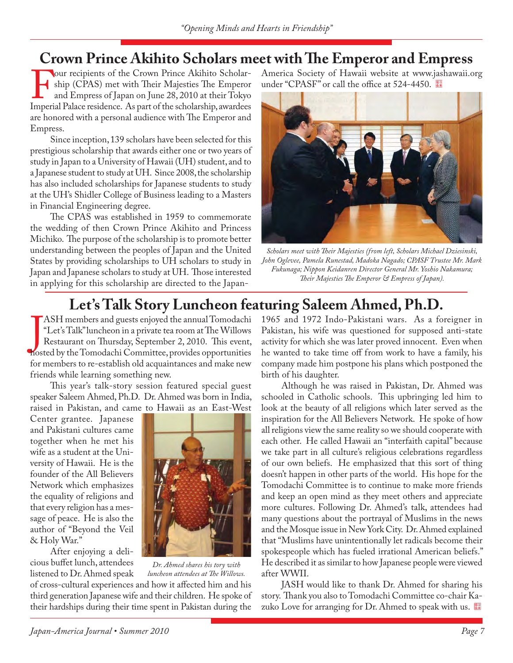## **Crown Prince Akihito Scholars meet with The Emperor and Empress**

F our recipients of the Crown Prince Akihito Scholarship (CPAS) met with Their Majesties The Emperor and Empress of Japan on June 28, 2010 at their Tokyo Imperial Palace residence. As part of the scholarship, awardees ship (CPAS) met with Their Majesties The Emperor and Empress of Japan on June 28, 2010 at their Tokyo are honored with a personal audience with The Emperor and Empress.

Since inception, 139 scholars have been selected for this prestigious scholarship that awards either one or two years of study in Japan to a University of Hawaii (UH) student, and to a Japanese student to study at UH. Since 2008, the scholarship has also included scholarships for Japanese students to study at the UH's Shidler College of Business leading to a Masters in Financial Engineering degree.

The CPAS was established in 1959 to commemorate the wedding of then Crown Prince Akihito and Princess Michiko. The purpose of the scholarship is to promote better understanding between the peoples of Japan and the United States by providing scholarships to UH scholars to study in Japan and Japanese scholars to study at UH. Those interested in applying for this scholarship are directed to the JapanAmerica Society of Hawaii website at www.jashawaii.org under "CPASF" or call the office at 524-4450.



*Scholars meet with Their Majesties (from left, Scholars Michael Dziesinski, John Oglevee, Pamela Runestad, Madoka Nagado; CPASF Trustee Mr. Mark Fukunaga; Nippon Keidanren Director General Mr. Yoshio Nakamura;*  Their Majesties The Emperor & Empress of Japan).

# **Let's Talk Story Luncheon featuring Saleem Ahmed, Ph.D.**

ASH members and guests enjoyed the annual Tomodachi "Let's Talk" luncheon in a private tea room at The Willows<br>Restaurant on Thursday, September 2, 2010. This event,<br>hosted by the Tomodachi Committee, provides opportunitie ASH members and guests enjoyed the annual Tomodachi "Let's Talk" luncheon in a private tea room at The Willows Restaurant on Thursday, September 2, 2010. This event, for members to re-establish old acquaintances and make new friends while learning something new.

This year's talk-story session featured special guest speaker Saleem Ahmed, Ph.D. Dr. Ahmed was born in India, raised in Pakistan, and came to Hawaii as an East-West

Center grantee. Japanese and Pakistani cultures came together when he met his wife as a student at the University of Hawaii. He is the founder of the All Believers Network which emphasizes the equality of religions and that every religion has a message of peace. He is also the author of "Beyond the Veil & Holy War."

After enjoying a delicious buffet lunch, attendees



*Dr. Ahmed shares his tory with luncheon attendees at The Willows.* 

listened to Dr. Ahmed speak of cross-cultural experiences and how it affected him and his third generation Japanese wife and their children. He spoke of their hardships during their time spent in Pakistan during the

1965 and 1972 Indo-Pakistani wars. As a foreigner in Pakistan, his wife was questioned for supposed anti-state activity for which she was later proved innocent. Even when he wanted to take time off from work to have a family, his company made him postpone his plans which postponed the birth of his daughter.

Although he was raised in Pakistan, Dr. Ahmed was schooled in Catholic schools. This upbringing led him to look at the beauty of all religions which later served as the inspiration for the All Believers Network. He spoke of how all religions view the same reality so we should cooperate with each other. He called Hawaii an "interfaith capital" because we take part in all culture's religious celebrations regardless of our own beliefs. He emphasized that this sort of thing doesn't happen in other parts of the world. His hope for the Tomodachi Committee is to continue to make more friends and keep an open mind as they meet others and appreciate more cultures. Following Dr. Ahmed's talk, attendees had many questions about the portrayal of Muslims in the news and the Mosque issue in New York City. Dr. Ahmed explained that "Muslims have unintentionally let radicals become their spokespeople which has fueled irrational American beliefs." He described it as similar to how Japanese people were viewed after WWII.

JASH would like to thank Dr. Ahmed for sharing his story. Thank you also to Tomodachi Committee co-chair Kazuko Love for arranging for Dr. Ahmed to speak with us.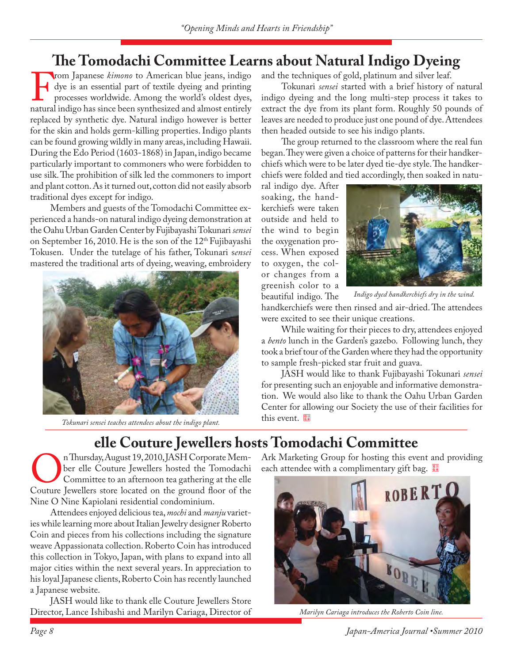# **The Tomodachi Committee Learns about Natural Indigo Dyeing**

From Japanese *kimono* to American blue jeans, indigo<br>dye is an essential part of textile dyeing and printing<br>processes worldwide. Among the world's oldest dyes,<br>natural indigo has since been synthesized and almost entirel dye is an essential part of textile dyeing and printing processes worldwide. Among the world's oldest dyes, natural indigo has since been synthesized and almost entirely replaced by synthetic dye. Natural indigo however is better for the skin and holds germ-killing properties. Indigo plants can be found growing wildly in many areas, including Hawaii. During the Edo Period (1603-1868) in Japan, indigo became particularly important to commoners who were forbidden to use silk. The prohibition of silk led the commoners to import and plant cotton. As it turned out, cotton did not easily absorb traditional dyes except for indigo.

Members and guests of the Tomodachi Committee experienced a hands-on natural indigo dyeing demonstration at the Oahu Urban Garden Center by Fujibayashi Tokunari *sensei* on September 16, 2010. He is the son of the 12<sup>th</sup> Fujibayashi Tokusen. Under the tutelage of his father, Tokunari s*ensei*  mastered the traditional arts of dyeing, weaving, embroidery



this event. *Tokunari sensei teaches attendees about the indigo plant.*

and the techniques of gold, platinum and silver leaf.

Tokunari *sensei* started with a brief history of natural indigo dyeing and the long multi-step process it takes to extract the dye from its plant form. Roughly 50 pounds of leaves are needed to produce just one pound of dye. Attendees then headed outside to see his indigo plants.

The group returned to the classroom where the real fun began. They were given a choice of patterns for their handkerchiefs which were to be later dyed tie-dye style. The handkerchiefs were folded and tied accordingly, then soaked in natu-

ral indigo dye. After soaking, the handkerchiefs were taken outside and held to the wind to begin the oxygenation process. When exposed to oxygen, the color changes from a greenish color to a beautiful indigo. The



*Indigo dyed handkerchiefs dry in the wind.*

handkerchiefs were then rinsed and air-dried. The attendees were excited to see their unique creations.

While waiting for their pieces to dry, attendees enjoyed a *bento* lunch in the Garden's gazebo. Following lunch, they took a brief tour of the Garden where they had the opportunity to sample fresh-picked star fruit and guava.

JASH would like to thank Fujibayashi Tokunari *sensei*  for presenting such an enjoyable and informative demonstration. We would also like to thank the Oahu Urban Garden Center for allowing our Society the use of their facilities for

# **elle Couture Jewellers hosts Tomodachi Committee**<br>
n Thursday, August 19, 2010, JASH Corporate Mem-Ark Marketing Group for hosting this eve

On Thursday, August 19, 2010, JASH Corporate Member elle Couture Jewellers hosted the Tomodachi Committee to an afternoon tea gathering at the elle Couture Jewellers store located on the ground floor of the ber elle Couture Jewellers hosted the Tomodachi Committee to an afternoon tea gathering at the elle Couture Jewellers store located on the ground floor of the Nine O Nine Kapiolani residential condominium.

Attendees enjoyed delicious tea, *mochi* and *manju* varieties while learning more about Italian Jewelry designer Roberto Coin and pieces from his collections including the signature weave Appassionata collection. Roberto Coin has introduced this collection in Tokyo, Japan, with plans to expand into all major cities within the next several years. In appreciation to his loyal Japanese clients, Roberto Coin has recently launched a Japanese website.

JASH would like to thank elle Couture Jewellers Store Director, Lance Ishibashi and Marilyn Cariaga, Director of Ark Marketing Group for hosting this event and providing each attendee with a complimentary gift bag.



*Marilyn Cariaga introduces the Roberto Coin line.*

*Page 8 Japan-America Journal •Summer 2010*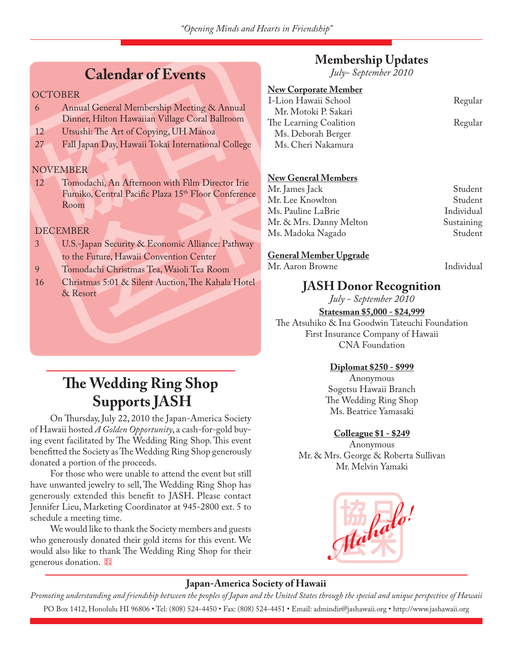## **Calendar of Events**

### **OCTOBER**

- 6 Annual General Membership Meeting & Annual Dinner, Hilton Hawaiian Village Coral Ballroom
- 12 Utsushi: The Art of Copying, UH Manoa
- 27 Fall Japan Day, Hawaii Tokai International College

## NOVEMBER

12 Tomodachi, An Afternoon with Film Director Irie Fumiko, Central Pacific Plaza 15<sup>th</sup> Floor Conference Room

## DECEMBER

- 3 U.S.-Japan Security & Economic Alliance: Pathway to the Future, Hawaii Convention Center
- 9 Tomodachi Christmas Tea, Waioli Tea Room
- 16 Christmas 5:01 & Silent Auction, The Kahala Hotel & Resort

# **The Wedding Ring Shop Supports JASH**

On Thursday, July 22, 2010 the Japan-America Society of Hawaii hosted *A Golden Opportunity*, a cash-for-gold buying event facilitated by The Wedding Ring Shop. This event benefitted the Society as The Wedding Ring Shop generously donated a portion of the proceeds.

For those who were unable to attend the event but still have unwanted jewelry to sell, The Wedding Ring Shop has generously extended this benefit to JASH. Please contact Jennifer Lieu, Marketing Coordinator at 945-2800 ext. 5 to schedule a meeting time.

We would like to thank the Society members and guests who generously donated their gold items for this event. We would also like to thank The Wedding Ring Shop for their generous donation.

## **Membership Updates**

*July- September 2010*

## **New Corporate Member**

I-Lion Hawaii School Regular Mr. Motoki P. Sakari The Learning Coalition Regular Ms. Deborah Berger Ms. Cheri Nakamura

## **New General Members**

Mr. James Jack Student Mr. Lee Knowlton Student Ms. Pauline LaBrie **Individual** Mr. & Mrs. Danny Melton Sustaining Ms. Madoka Nagado Student

#### **General Member Upgrade**

Mr. Aaron Browne Individual

## **JASH Donor Recognition**

*July - September 2010*

**Statesman \$5,000 - \$24,999** The Atsuhiko & Ina Goodwin Tateuchi Foundation First Insurance Company of Hawaii CNA Foundation

#### **Diplomat \$250 - \$999**

Anonymous Sogetsu Hawaii Branch The Wedding Ring Shop Ms. Beatrice Yamasaki

#### **Colleague \$1 - \$249**

Anonymous Mr. & Mrs. George & Roberta Sullivan Mr. Melvin Yamaki



## **Japan-America Society of Hawaii**

*Promoting understanding and friendship between the peoples of Japan and the United States through the special and unique perspective of Hawaii* PO Box 1412, Honolulu HI 96806 • Tel: (808) 524-4450 • Fax: (808) 524-4451 • Email: admindir@jashawaii.org • http://www.jashawaii.org